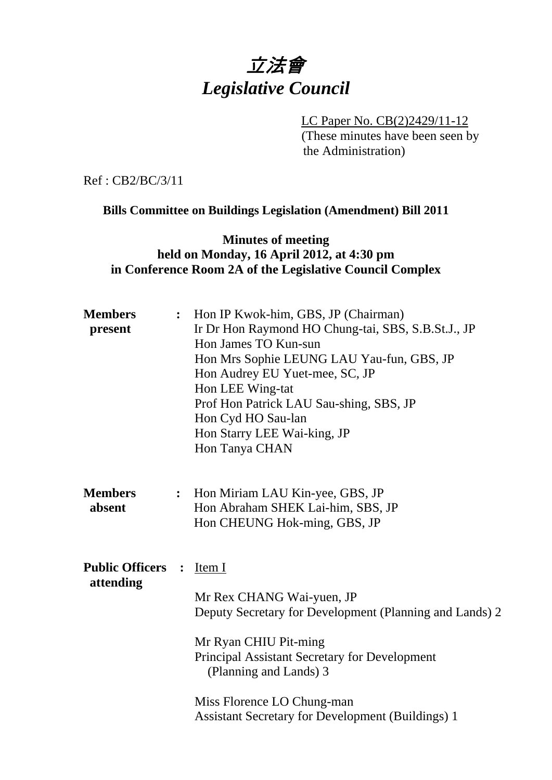# 立法會 *Legislative Council*

 LC Paper No. CB(2)2429/11-12 (These minutes have been seen by the Administration)

Ref : CB2/BC/3/11

**Bills Committee on Buildings Legislation (Amendment) Bill 2011**

#### **Minutes of meeting held on Monday, 16 April 2012, at 4:30 pm in Conference Room 2A of the Legislative Council Complex**

| <b>Members</b><br>present                             | $\ddot{\cdot}$ | Hon IP Kwok-him, GBS, JP (Chairman)<br>Ir Dr Hon Raymond HO Chung-tai, SBS, S.B.St.J., JP<br>Hon James TO Kun-sun<br>Hon Mrs Sophie LEUNG LAU Yau-fun, GBS, JP<br>Hon Audrey EU Yuet-mee, SC, JP<br>Hon LEE Wing-tat<br>Prof Hon Patrick LAU Sau-shing, SBS, JP<br>Hon Cyd HO Sau-lan<br>Hon Starry LEE Wai-king, JP<br>Hon Tanya CHAN |
|-------------------------------------------------------|----------------|----------------------------------------------------------------------------------------------------------------------------------------------------------------------------------------------------------------------------------------------------------------------------------------------------------------------------------------|
| <b>Members</b><br>absent                              | $\ddot{\cdot}$ | Hon Miriam LAU Kin-yee, GBS, JP<br>Hon Abraham SHEK Lai-him, SBS, JP<br>Hon CHEUNG Hok-ming, GBS, JP                                                                                                                                                                                                                                   |
| <b>Public Officers</b><br>$\ddot{\cdot}$<br>attending |                | Item I<br>Mr Rex CHANG Wai-yuen, JP<br>Deputy Secretary for Development (Planning and Lands) 2<br>Mr Ryan CHIU Pit-ming<br><b>Principal Assistant Secretary for Development</b><br>(Planning and Lands) 3<br>Miss Florence LO Chung-man<br><b>Assistant Secretary for Development (Buildings) 1</b>                                    |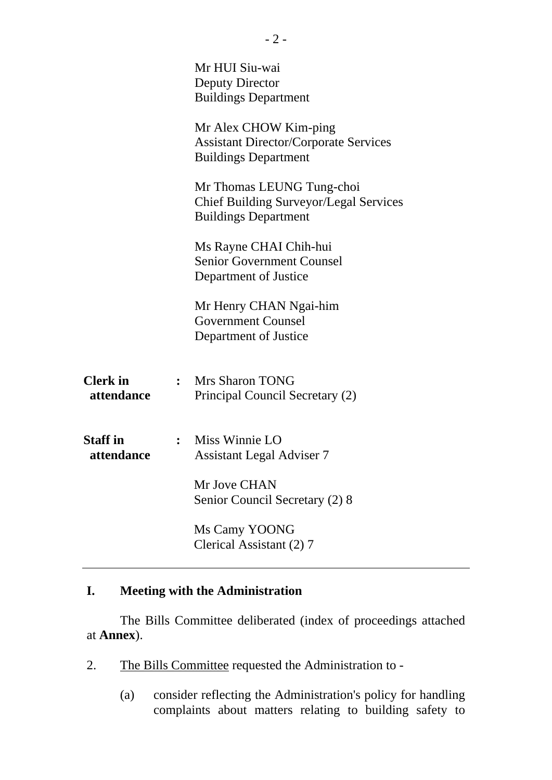|                               |                | Mr HUI Siu-wai<br><b>Deputy Director</b><br><b>Buildings Department</b>                                   |
|-------------------------------|----------------|-----------------------------------------------------------------------------------------------------------|
|                               |                | Mr Alex CHOW Kim-ping<br><b>Assistant Director/Corporate Services</b><br><b>Buildings Department</b>      |
|                               |                | Mr Thomas LEUNG Tung-choi<br><b>Chief Building Surveyor/Legal Services</b><br><b>Buildings Department</b> |
|                               |                | Ms Rayne CHAI Chih-hui<br><b>Senior Government Counsel</b><br>Department of Justice                       |
|                               |                | Mr Henry CHAN Ngai-him<br><b>Government Counsel</b><br>Department of Justice                              |
| <b>Clerk</b> in<br>attendance | $\ddot{\cdot}$ | <b>Mrs Sharon TONG</b><br>Principal Council Secretary (2)                                                 |
| <b>Staff</b> in<br>attendance |                | : Miss Winnie LO<br><b>Assistant Legal Adviser 7</b>                                                      |
|                               |                | Mr Jove CHAN<br>Senior Council Secretary (2) 8                                                            |
|                               |                | Ms Camy YOONG<br>Clerical Assistant (2) 7                                                                 |

## **I. Meeting with the Administration**

The Bills Committee deliberated (index of proceedings attached at **Annex**).

- 2. The Bills Committee requested the Administration to -
	- (a) consider reflecting the Administration's policy for handling complaints about matters relating to building safety to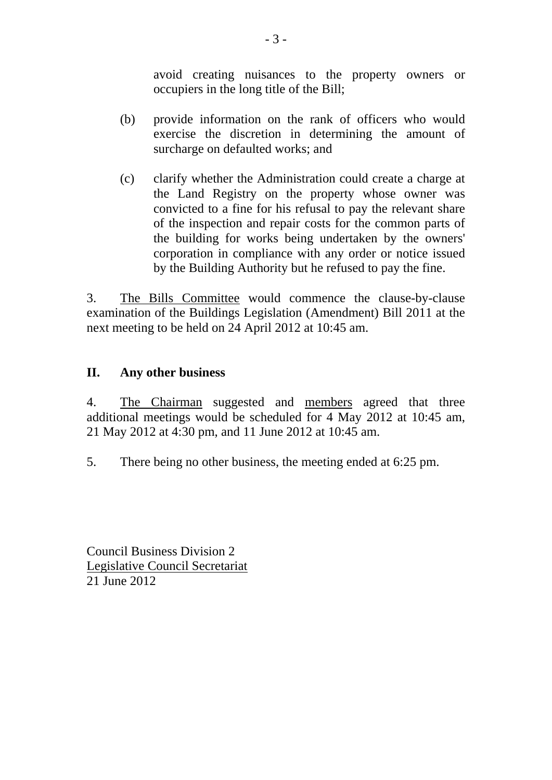avoid creating nuisances to the property owners or occupiers in the long title of the Bill;

- (b) provide information on the rank of officers who would exercise the discretion in determining the amount of surcharge on defaulted works; and
- (c) clarify whether the Administration could create a charge at the Land Registry on the property whose owner was convicted to a fine for his refusal to pay the relevant share of the inspection and repair costs for the common parts of the building for works being undertaken by the owners' corporation in compliance with any order or notice issued by the Building Authority but he refused to pay the fine.

3. The Bills Committee would commence the clause-by-clause examination of the Buildings Legislation (Amendment) Bill 2011 at the next meeting to be held on 24 April 2012 at 10:45 am.

### **II. Any other business**

4. The Chairman suggested and members agreed that three additional meetings would be scheduled for 4 May 2012 at 10:45 am, 21 May 2012 at 4:30 pm, and 11 June 2012 at 10:45 am.

5. There being no other business, the meeting ended at 6:25 pm.

Council Business Division 2 Legislative Council Secretariat 21 June 2012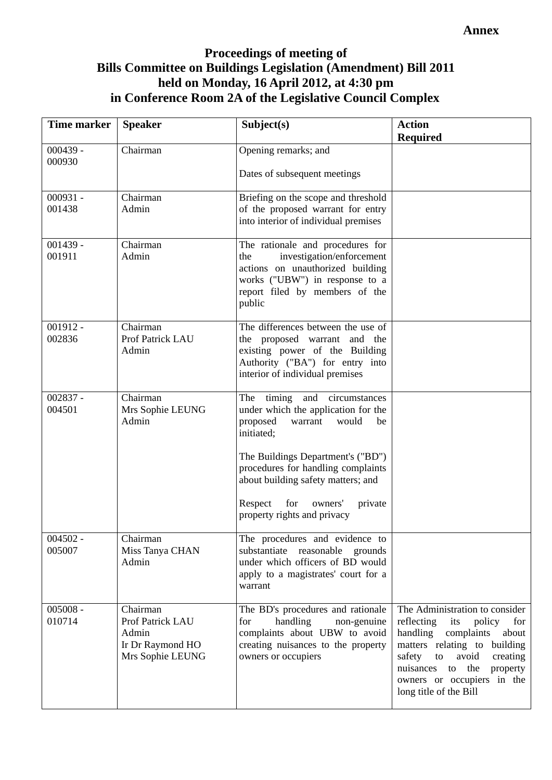## **Proceedings of meeting of Bills Committee on Buildings Legislation (Amendment) Bill 2011 held on Monday, 16 April 2012, at 4:30 pm in Conference Room 2A of the Legislative Council Complex**

| <b>Time marker</b>   | <b>Speaker</b>                                                                | Subject(s)                                                                                                                                                                                                                                                                       | <b>Action</b><br><b>Required</b>                                                                                                                                                                                                                                        |
|----------------------|-------------------------------------------------------------------------------|----------------------------------------------------------------------------------------------------------------------------------------------------------------------------------------------------------------------------------------------------------------------------------|-------------------------------------------------------------------------------------------------------------------------------------------------------------------------------------------------------------------------------------------------------------------------|
| $000439 -$<br>000930 | Chairman                                                                      | Opening remarks; and<br>Dates of subsequent meetings                                                                                                                                                                                                                             |                                                                                                                                                                                                                                                                         |
|                      |                                                                               |                                                                                                                                                                                                                                                                                  |                                                                                                                                                                                                                                                                         |
| $000931 -$<br>001438 | Chairman<br>Admin                                                             | Briefing on the scope and threshold<br>of the proposed warrant for entry<br>into interior of individual premises                                                                                                                                                                 |                                                                                                                                                                                                                                                                         |
| $001439 -$<br>001911 | Chairman<br>Admin                                                             | The rationale and procedures for<br>investigation/enforcement<br>the<br>actions on unauthorized building<br>works ("UBW") in response to a<br>report filed by members of the<br>public                                                                                           |                                                                                                                                                                                                                                                                         |
| $001912 -$<br>002836 | Chairman<br>Prof Patrick LAU<br>Admin                                         | The differences between the use of<br>the proposed warrant and the<br>existing power of the Building<br>Authority ("BA") for entry into<br>interior of individual premises                                                                                                       |                                                                                                                                                                                                                                                                         |
| $002837 -$<br>004501 | Chairman<br>Mrs Sophie LEUNG<br>Admin                                         | The timing and circumstances<br>under which the application for the<br>proposed<br>warrant<br>would<br>be<br>initiated;<br>The Buildings Department's ("BD")<br>procedures for handling complaints<br>about building safety matters; and<br>for<br>Respect<br>owners'<br>private |                                                                                                                                                                                                                                                                         |
|                      |                                                                               | property rights and privacy                                                                                                                                                                                                                                                      |                                                                                                                                                                                                                                                                         |
| $004502 -$<br>005007 | Chairman<br>Miss Tanya CHAN<br>Admin                                          | The procedures and evidence to<br>substantiate reasonable grounds<br>under which officers of BD would<br>apply to a magistrates' court for a<br>warrant                                                                                                                          |                                                                                                                                                                                                                                                                         |
| $005008 -$<br>010714 | Chairman<br>Prof Patrick LAU<br>Admin<br>Ir Dr Raymond HO<br>Mrs Sophie LEUNG | The BD's procedures and rationale<br>handling<br>for<br>non-genuine<br>complaints about UBW to avoid<br>creating nuisances to the property<br>owners or occupiers                                                                                                                | The Administration to consider<br>reflecting<br>its<br>policy<br>for<br>handling<br>complaints<br>about<br>matters relating to building<br>safety<br>avoid<br>creating<br>to<br>the<br>property<br>nuisances to<br>owners or occupiers in the<br>long title of the Bill |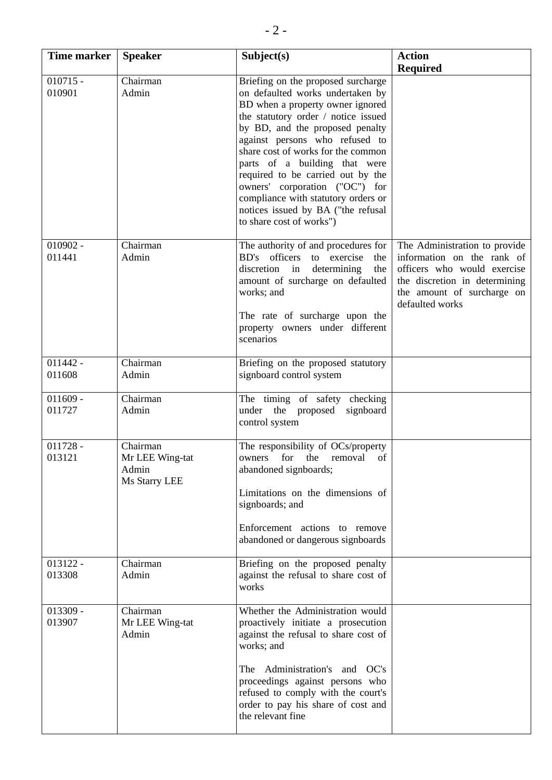| Time marker          | <b>Speaker</b>                                        | Subject(s)                                                                                                                                                                                                                                                                                                                                                                                                                                                                    | <b>Action</b>                                                                                                                                                                |
|----------------------|-------------------------------------------------------|-------------------------------------------------------------------------------------------------------------------------------------------------------------------------------------------------------------------------------------------------------------------------------------------------------------------------------------------------------------------------------------------------------------------------------------------------------------------------------|------------------------------------------------------------------------------------------------------------------------------------------------------------------------------|
|                      |                                                       |                                                                                                                                                                                                                                                                                                                                                                                                                                                                               | <b>Required</b>                                                                                                                                                              |
| $010715 -$<br>010901 | Chairman<br>Admin                                     | Briefing on the proposed surcharge<br>on defaulted works undertaken by<br>BD when a property owner ignored<br>the statutory order / notice issued<br>by BD, and the proposed penalty<br>against persons who refused to<br>share cost of works for the common<br>parts of a building that were<br>required to be carried out by the<br>owners' corporation ("OC") for<br>compliance with statutory orders or<br>notices issued by BA ("the refusal<br>to share cost of works") |                                                                                                                                                                              |
| $010902 -$<br>011441 | Chairman<br>Admin                                     | The authority of and procedures for<br>BD's officers to exercise<br>the<br>discretion<br>in<br>determining<br>the<br>amount of surcharge on defaulted<br>works; and<br>The rate of surcharge upon the<br>property owners under different<br>scenarios                                                                                                                                                                                                                         | The Administration to provide<br>information on the rank of<br>officers who would exercise<br>the discretion in determining<br>the amount of surcharge on<br>defaulted works |
| $011442 -$<br>011608 | Chairman<br>Admin                                     | Briefing on the proposed statutory<br>signboard control system                                                                                                                                                                                                                                                                                                                                                                                                                |                                                                                                                                                                              |
| $011609 -$<br>011727 | Chairman<br>Admin                                     | The timing of safety checking<br>under the proposed<br>signboard<br>control system                                                                                                                                                                                                                                                                                                                                                                                            |                                                                                                                                                                              |
| $011728 -$<br>013121 | Chairman<br>Mr LEE Wing-tat<br>Admin<br>Ms Starry LEE | The responsibility of OCs/property<br>for the<br>removal<br>of<br>owners<br>abandoned signboards;<br>Limitations on the dimensions of<br>signboards; and<br>Enforcement actions to remove<br>abandoned or dangerous signboards                                                                                                                                                                                                                                                |                                                                                                                                                                              |
| $013122 -$<br>013308 | Chairman<br>Admin                                     | Briefing on the proposed penalty<br>against the refusal to share cost of<br>works                                                                                                                                                                                                                                                                                                                                                                                             |                                                                                                                                                                              |
| $013309 -$<br>013907 | Chairman<br>Mr LEE Wing-tat<br>Admin                  | Whether the Administration would<br>proactively initiate a prosecution<br>against the refusal to share cost of<br>works; and<br>Administration's and OC's<br>The 1<br>proceedings against persons who<br>refused to comply with the court's<br>order to pay his share of cost and<br>the relevant fine                                                                                                                                                                        |                                                                                                                                                                              |